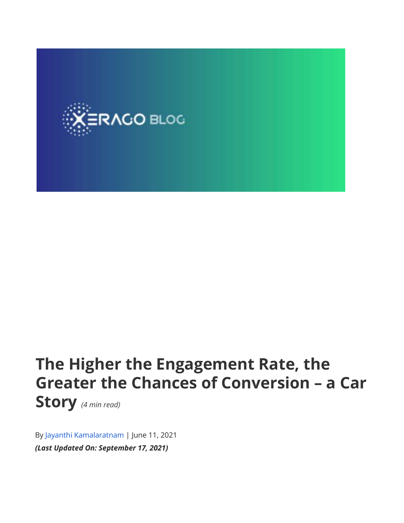

## **The Higher the Engagement Rate, the Greater the Chances of Conversion – a Car Story** *(4 min read)*

By Jayanthi [Kamalaratnam](https://www.xerago.com/blog/author/jayanthi/) | June 11, 2021 *(Last Updated On: September 17, 2021)*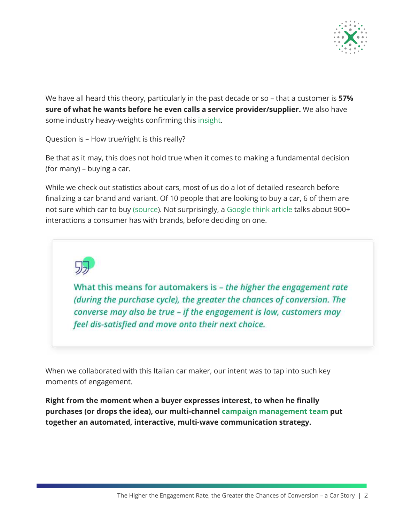

We have all heard this theory, particularly in the past decade or so – that a customer is **57% sure of what he wants before he even calls a service provider/supplier.** We also have some industry heavy-weights confirming this [insight.](https://www.thinkwithgoogle.com/future-of-marketing/digital-transformation/b2b-digital-evolution/#:~:text=New%20research%20from%20CEB%27s%20Marketing,the%20purchase%20process%20is%20complete)

Question is – How true/right is this really?

Be that as it may, this does not hold true when it comes to making a fundamental decision (for many) – buying a car.

While we check out statistics about cars, most of us do a lot of detailed research before finalizing a car brand and variant. Of 10 people that are looking to buy a car, 6 of them are not sure which car to buy [\(source](https://www.thinkwithgoogle.com/_qs/documents/335/five-auto-shopping-moments-every-brand-must-own.pdf)). Not surprisingly, a [Google](https://www.thinkwithgoogle.com/consumer-insights/consumer-trends/consumer-car-buying-process-reveals-auto-marketing-opportunities/) think article talks about 900+ interactions a consumer has with brands, before deciding on one.



What this means for automakers is - the higher the engagement rate (during the purchase cycle), the greater the chances of conversion. The converse may also be true - if the engagement is low, customers may feel dis-satisfied and move onto their next choice.

When we collaborated with this Italian car maker, our intent was to tap into such key moments of engagement.

**Right from the moment when a buyer expresses interest, to when he finally purchases (or drops the idea), our multi-channel campaign [management](https://www.xerago.com/campaign-management/) team put together an automated, interactive, multi-wave communication strategy.**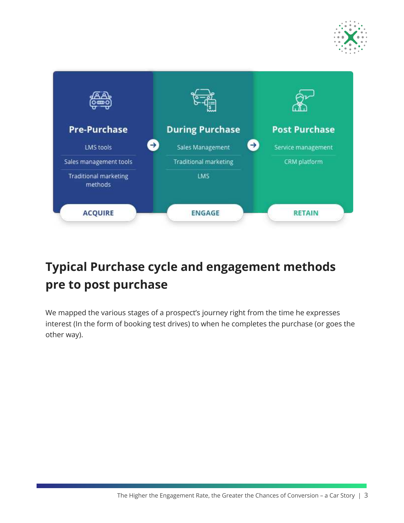



## **Typical Purchase cycle and engagement methods pre to post purchase**

We mapped the various stages of a prospect's journey right from the time he expresses interest (In the form of booking test drives) to when he completes the purchase (or goes the other way).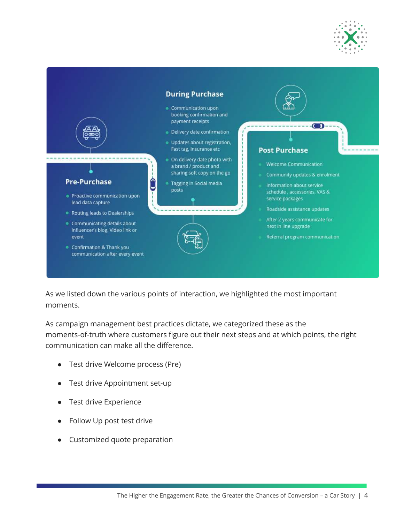



As we listed down the various points of interaction, we highlighted the most important moments.

As campaign management best practices dictate, we categorized these as the moments-of-truth where customers figure out their next steps and at which points, the right communication can make all the difference.

- Test drive Welcome process (Pre)
- Test drive Appointment set-up
- Test drive Experience
- Follow Up post test drive
- Customized quote preparation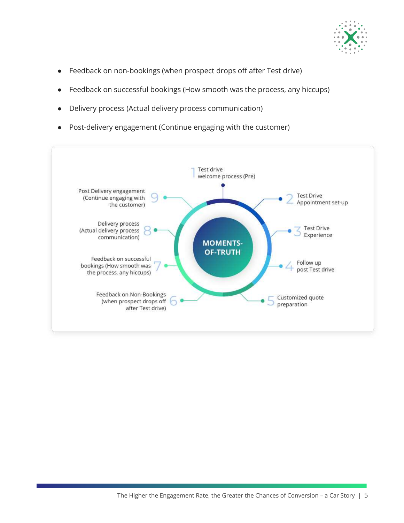

- Feedback on non-bookings (when prospect drops off after Test drive)
- Feedback on successful bookings (How smooth was the process, any hiccups)
- Delivery process (Actual delivery process communication)
- Post-delivery engagement (Continue engaging with the customer)

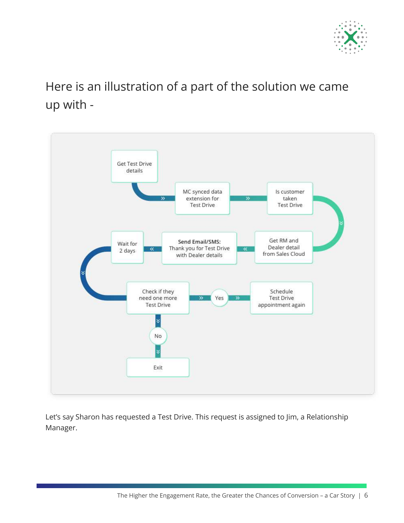

## Here is an illustration of a part of the solution we came up with -



Let's say Sharon has requested a Test Drive. This request is assigned to Jim, a Relationship Manager.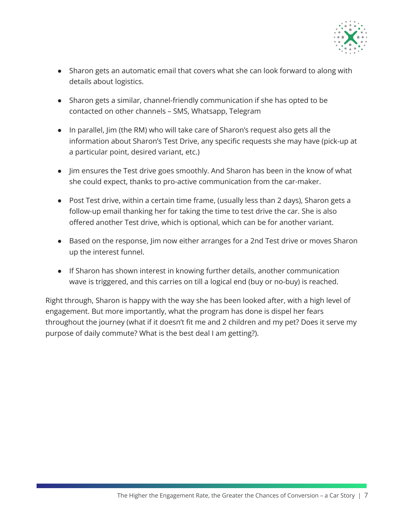

- Sharon gets an automatic email that covers what she can look forward to along with details about logistics.
- Sharon gets a similar, channel-friendly communication if she has opted to be contacted on other channels – SMS, Whatsapp, Telegram
- In parallel, Jim (the RM) who will take care of Sharon's request also gets all the information about Sharon's Test Drive, any specific requests she may have (pick-up at a particular point, desired variant, etc.)
- Jim ensures the Test drive goes smoothly. And Sharon has been in the know of what she could expect, thanks to pro-active communication from the car-maker.
- Post Test drive, within a certain time frame, (usually less than 2 days), Sharon gets a follow-up email thanking her for taking the time to test drive the car. She is also offered another Test drive, which is optional, which can be for another variant.
- Based on the response, Jim now either arranges for a 2nd Test drive or moves Sharon up the interest funnel.
- If Sharon has shown interest in knowing further details, another communication wave is triggered, and this carries on till a logical end (buy or no-buy) is reached.

Right through, Sharon is happy with the way she has been looked after, with a high level of engagement. But more importantly, what the program has done is dispel her fears throughout the journey (what if it doesn't fit me and 2 children and my pet? Does it serve my purpose of daily commute? What is the best deal I am getting?).